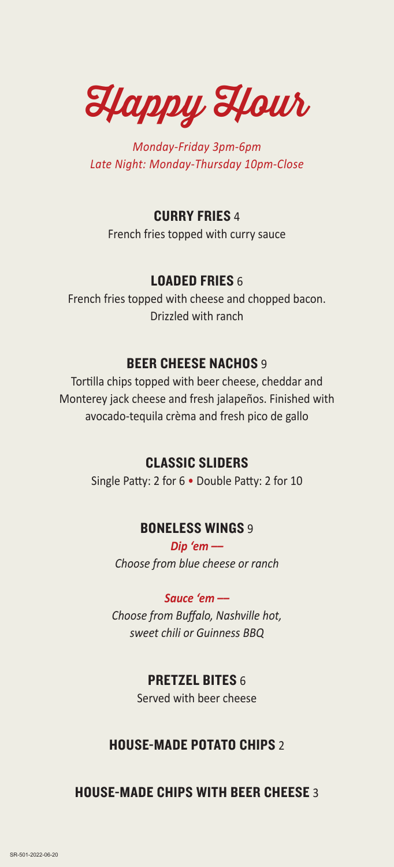Happy Hour

*Monday-Friday 3pm-6pm Late Night: Monday-Thursday 10pm-Close*

## CURRY FRIES 4

French fries topped with curry sauce

## LOADED FRIES 6

French fries topped with cheese and chopped bacon. Drizzled with ranch

## BEER CHEESE NACHOS 9

Tortilla chips topped with beer cheese, cheddar and Monterey jack cheese and fresh jalapeños. Finished with avocado-tequila crèma and fresh pico de gallo

## CLASSIC SLIDERS

Single Patty: 2 for 6 • Double Patty: 2 for 10

## BONELESS WINGS 9

*Dip 'em –– Choose from blue cheese or ranch*

*Sauce 'em ––*

*Choose from Buffalo, Nashville hot, sweet chili or Guinness BBQ*

## PRETZEL BITES 6

Served with beer cheese

## HOUSE-MADE POTATO CHIPS 2

HOUSE-MADE CHIPS WITH BEER CHEESE 3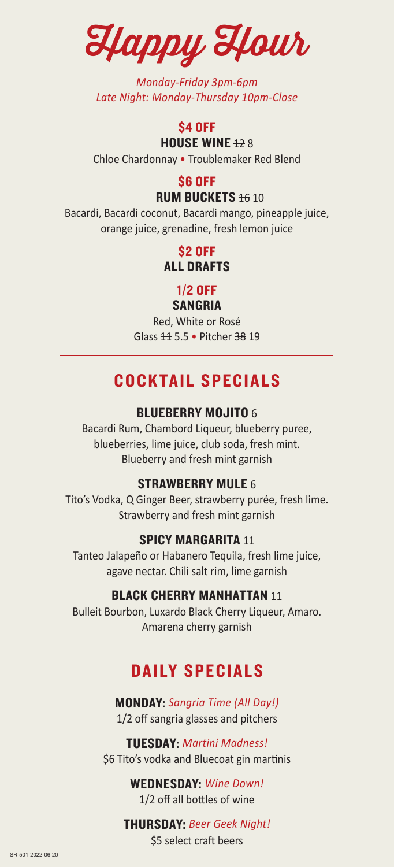Happy Hour

*Monday-Friday 3pm-6pm Late Night: Monday-Thursday 10pm-Close* 

## **\$4 OFF HOUSE WINE 128**

Chloe Chardonnay • Troublemaker Red Blend

## \$6 OFF

## **RUM BUCKETS 16 10**

Bacardi, Bacardi coconut, Bacardi mango, pineapple juice, orange juice, grenadine, fresh lemon juice

> \$2 OFF ALL DRAFTS

### 1/2 OFF SANGRIA

Red, White or Rosé Glass 11 5.5 • Pitcher 38 19

## COCKTAIL SPECIALS

## **BLUEBERRY MOJITO 6**

Bacardi Rum, Chambord Liqueur, blueberry puree, blueberries, lime juice, club soda, fresh mint. Blueberry and fresh mint garnish

## STRAWBERRY MULE 6

Tito's Vodka, Q Ginger Beer, strawberry purée, fresh lime. Strawberry and fresh mint garnish

## SPICY MARGARITA 11

Tanteo Jalapeño or Habanero Tequila, fresh lime juice, agave nectar. Chili salt rim, lime garnish

## BLACK CHERRY MANHATTAN 11

Bulleit Bourbon, Luxardo Black Cherry Liqueur, Amaro. Amarena cherry garnish

## DAILY SPECIALS

MONDAY: *Sangria Time (All Day!)* 1/2 off sangria glasses and pitchers

TUESDAY: *Martini Madness!* \$6 Tito's vodka and Bluecoat gin martinis

> WEDNESDAY: *Wine Down!* 1/2 off all bottles of wine

## THURSDAY: *Beer Geek Night!*

\$5 select craft beers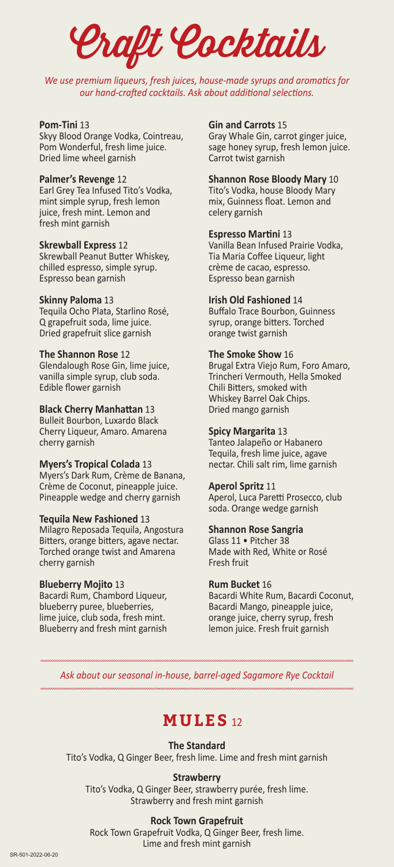Craft Cocktails

*We use premium liqueurs, fresh juices, house-made syrups and aromatics for our hand-crafted cocktails. Ask about additional selections.* 

#### **Pom-Tini** 13

Skyy Blood Orange Vodka, Cointreau, Pom Wonderful, fresh lime juice. Dried lime wheel garnish

#### **Palmer's Revenge** 12

Earl Grey Tea Infused Tito's Vodka, mint simple syrup, fresh lemon juice, fresh mint. Lemon and fresh mint garnish

#### **Skrewball Express** 12

Skrewball Peanut Butter Whiskey, chilled espresso, simple syrup. Espresso bean garnish

#### **Skinny Paloma** 13

Tequila Ocho Plata, Starlino Rosé, Q grapefruit soda, lime juice. Dried grapefruit slice garnish

#### **The Shannon Rose** 12

Glendalough Rose Gin, lime juice, vanilla simple syrup, club soda. Edible flower garnish

#### **Black Cherry Manhattan** 13

Bulleit Bourbon, Luxardo Black Cherry Liqueur, Amaro. Amarena cherry garnish

#### **Myers's Tropical Colada** 13

Myers's Dark Rum, Crème de Banana, Crème de Coconut, pineapple juice. Pineapple wedge and cherry garnish

#### **Tequila New Fashioned** 13

Milagro Reposada Tequila, Angostura Bitters, orange bitters, agave nectar. Torched orange twist and Amarena cherry garnish

#### **Blueberry Mojito** 13

Bacardi Rum, Chambord Liqueur, blueberry puree, blueberries, lime juice, club soda, fresh mint. Blueberry and fresh mint garnish

#### **Gin and Carrots** 15

Gray Whale Gin, carrot ginger juice, sage honey syrup, fresh lemon juice. Carrot twist garnish

#### **Shannon Rose Bloody Mary** 10

Tito's Vodka, house Bloody Mary mix, Guinness float. Lemon and celery garnish

#### **Espresso Martini** 13

Vanilla Bean Infused Prairie Vodka, Tia Maria Coffee Liqueur, light crème de cacao, espresso. Espresso bean garnish

#### **Irish Old Fashioned** 14

Buffalo Trace Bourbon, Guinness syrup, orange bitters. Torched orange twist garnish

#### **The Smoke Show** 16

Brugal Extra Viejo Rum, Foro Amaro, Trincheri Vermouth, Hella Smoked Chili Bitters, smoked with Whiskey Barrel Oak Chips. Dried mango garnish

#### **Spicy Margarita** 13

Tanteo Jalapeño or Habanero Tequila, fresh lime juice, agave nectar. Chili salt rim, lime garnish

#### **Aperol Spritz** 11

Aperol, Luca Paretti Prosecco, club soda. Orange wedge garnish

#### **Shannon Rose Sangria**

Glass 11 • Pitcher 38 Made with Red, White or Rosé Fresh fruit

#### **Rum Bucket** 16

Bacardi White Rum, Bacardi Coconut, Bacardi Mango, pineapple juice, orange juice, cherry syrup, fresh lemon juice. Fresh fruit garnish

*Ask about our seasonal in-house, barrel-aged Sagamore Rye Cocktail*

## **MULES** 12

#### **The Standard**

Tito's Vodka, Q Ginger Beer, fresh lime. Lime and fresh mint garnish

#### **Strawberry**

Tito's Vodka, Q Ginger Beer, strawberry purée, fresh lime. Strawberry and fresh mint garnish

#### **Rock Town Grapefruit**

Rock Town Grapefruit Vodka, Q Ginger Beer, fresh lime. Lime and fresh mint garnish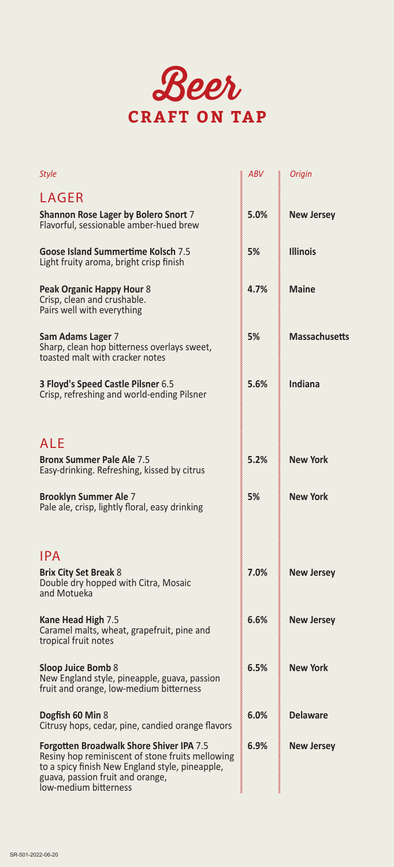

| <b>Style</b>                                                                                                                                                                                                        | ABV  | <b>Origin</b>        |
|---------------------------------------------------------------------------------------------------------------------------------------------------------------------------------------------------------------------|------|----------------------|
| <b>LAGER</b>                                                                                                                                                                                                        |      |                      |
| Shannon Rose Lager by Bolero Snort 7<br>Flavorful, sessionable amber-hued brew                                                                                                                                      | 5.0% | <b>New Jersey</b>    |
| Goose Island Summertime Kolsch 7.5<br>Light fruity aroma, bright crisp finish                                                                                                                                       | 5%   | <b>Illinois</b>      |
| Peak Organic Happy Hour 8<br>Crisp, clean and crushable.<br>Pairs well with everything                                                                                                                              | 4.7% | <b>Maine</b>         |
| Sam Adams Lager 7<br>Sharp, clean hop bitterness overlays sweet,<br>toasted malt with cracker notes                                                                                                                 | 5%   | <b>Massachusetts</b> |
| 3 Floyd's Speed Castle Pilsner 6.5<br>Crisp, refreshing and world-ending Pilsner                                                                                                                                    | 5.6% | Indiana              |
| ALE                                                                                                                                                                                                                 |      |                      |
| <b>Bronx Summer Pale Ale 7.5</b><br>Easy-drinking. Refreshing, kissed by citrus                                                                                                                                     | 5.2% | <b>New York</b>      |
| <b>Brooklyn Summer Ale 7</b><br>Pale ale, crisp, lightly floral, easy drinking                                                                                                                                      | 5%   | <b>New York</b>      |
| <b>IPA</b>                                                                                                                                                                                                          |      |                      |
| <b>Brix City Set Break 8</b><br>Double dry hopped with Citra, Mosaic<br>and Motueka                                                                                                                                 | 7.0% | <b>New Jersey</b>    |
| Kane Head High 7.5<br>Caramel malts, wheat, grapefruit, pine and<br>tropical fruit notes                                                                                                                            | 6.6% | <b>New Jersey</b>    |
| Sloop Juice Bomb 8<br>New England style, pineapple, guava, passion<br>fruit and orange, low-medium bitterness                                                                                                       | 6.5% | <b>New York</b>      |
| Dogfish 60 Min 8<br>Citrusy hops, cedar, pine, candied orange flavors                                                                                                                                               | 6.0% | <b>Delaware</b>      |
| <b>Forgotten Broadwalk Shore Shiver IPA 7.5</b><br>Resiny hop reminiscent of stone fruits mellowing<br>to a spicy finish New England style, pineapple,<br>guava, passion fruit and orange,<br>low-medium bitterness | 6.9% | <b>New Jersey</b>    |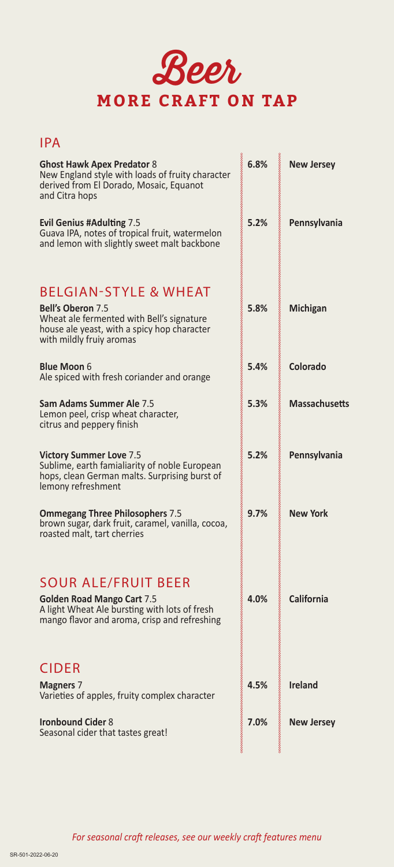

## IPA

| <b>Ghost Hawk Apex Predator 8</b><br>New England style with loads of fruity character<br>derived from El Dorado, Mosaic, Equanot<br>and Citra hops                                   | 6.8% | <b>New Jersey</b>    |
|--------------------------------------------------------------------------------------------------------------------------------------------------------------------------------------|------|----------------------|
| <b>Evil Genius #Adulting 7.5</b><br>Guava IPA, notes of tropical fruit, watermelon<br>and lemon with slightly sweet malt backbone                                                    | 5.2% | Pennsylvania         |
| <b>BELGIAN-STYLE &amp; WHEAT</b><br><b>Bell's Oberon 7.5</b><br>Wheat ale fermented with Bell's signature<br>house ale yeast, with a spicy hop character<br>with mildly fruiy aromas | 5.8% | Michigan             |
| <b>Blue Moon 6</b><br>Ale spiced with fresh coriander and orange                                                                                                                     | 5.4% | Colorado             |
| <b>Sam Adams Summer Ale 7.5</b><br>Lemon peel, crisp wheat character,<br>citrus and peppery finish                                                                                   | 5.3% | <b>Massachusetts</b> |
| <b>Victory Summer Love 7.5</b><br>Sublime, earth famialiarity of noble European<br>hops, clean German malts. Surprising burst of<br>lemony refreshment                               | 5.2% | Pennsylvania         |
| <b>Ommegang Three Philosophers 7.5</b><br>brown sugar, dark fruit, caramel, vanilla, cocoa,<br>roasted malt, tart cherries                                                           | 9.7% | <b>New York</b>      |
| <b>SOUR ALE/FRUIT BEER</b><br><b>Golden Road Mango Cart 7.5</b><br>A light Wheat Ale bursting with lots of fresh<br>mango flavor and aroma, crisp and refreshing                     | 4.0% | <b>California</b>    |
| <b>CIDER</b>                                                                                                                                                                         |      |                      |
| <b>Magners 7</b><br>Varieties of apples, fruity complex character                                                                                                                    | 4.5% | <b>Ireland</b>       |
| <b>Ironbound Cider 8</b><br>Seasonal cider that tastes great!                                                                                                                        | 7.0% | <b>New Jersey</b>    |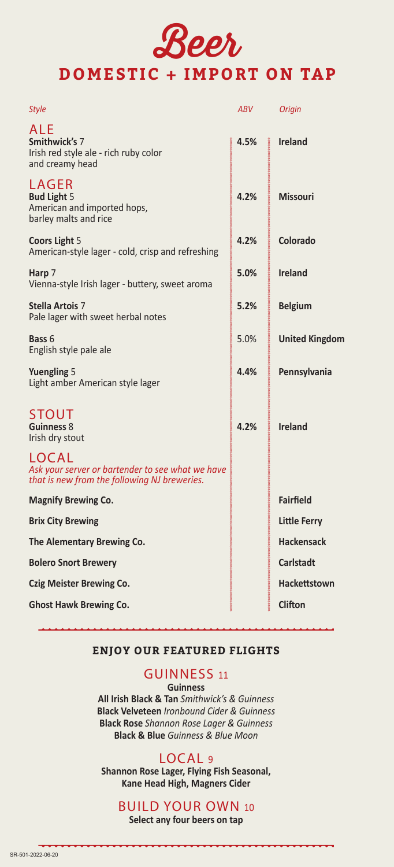## Beer **DOMESTIC + IMPORT ON TAP**

| <b>Style</b>                                                                                              | <b>ABV</b> | Origin                |
|-----------------------------------------------------------------------------------------------------------|------------|-----------------------|
| <b>ALE</b><br>Smithwick's 7<br>Irish red style ale - rich ruby color<br>and creamy head                   | 4.5%       | <b>Ireland</b>        |
| LAGER<br><b>Bud Light 5</b><br>American and imported hops,<br>barley malts and rice                       | 4.2%       | <b>Missouri</b>       |
| <b>Coors Light 5</b><br>American-style lager - cold, crisp and refreshing                                 | 4.2%       | Colorado              |
| Harp 7<br>Vienna-style Irish lager - buttery, sweet aroma                                                 | 5.0%       | <b>Ireland</b>        |
| <b>Stella Artois 7</b><br>Pale lager with sweet herbal notes                                              | 5.2%       | <b>Belgium</b>        |
| <b>Bass 6</b><br>English style pale ale                                                                   | 5.0%       | <b>United Kingdom</b> |
| <b>Yuengling 5</b><br>Light amber American style lager                                                    | 4.4%       | Pennsylvania          |
| STOUT<br>Guinness 8<br>Irish dry stout                                                                    | 4.2%       | <b>Ireland</b>        |
| LOCAL<br>Ask your server or bartender to see what we have<br>that is new from the following NJ breweries. |            |                       |
| <b>Magnify Brewing Co.</b>                                                                                |            | <b>Fairfield</b>      |
| <b>Brix City Brewing</b>                                                                                  |            | Little Ferry          |
| The Alementary Brewing Co.                                                                                |            | <b>Hackensack</b>     |
| <b>Bolero Snort Brewery</b>                                                                               |            | <b>Carlstadt</b>      |
| <b>Czig Meister Brewing Co.</b>                                                                           |            | <b>Hackettstown</b>   |
| <b>Ghost Hawk Brewing Co.</b>                                                                             |            | <b>Clifton</b>        |

## **ENJOY OUR FEATURED FLIGHTS**

### GUINNESS <sup>11</sup>

**Guinness**

**All Irish Black & Tan** *Smithwick's & Guinness* **Black Velveteen** *Ironbound Cider & Guinness* **Black Rose** *Shannon Rose Lager & Guinness*  **Black & Blue** *Guinness & Blue Moon* 

## LOCAL <sup>9</sup>

**Shannon Rose Lager, Flying Fish Seasonal, Kane Head High, Magners Cider**

## BUILD YOUR OWN <sup>10</sup>

**Select any four beers on tap**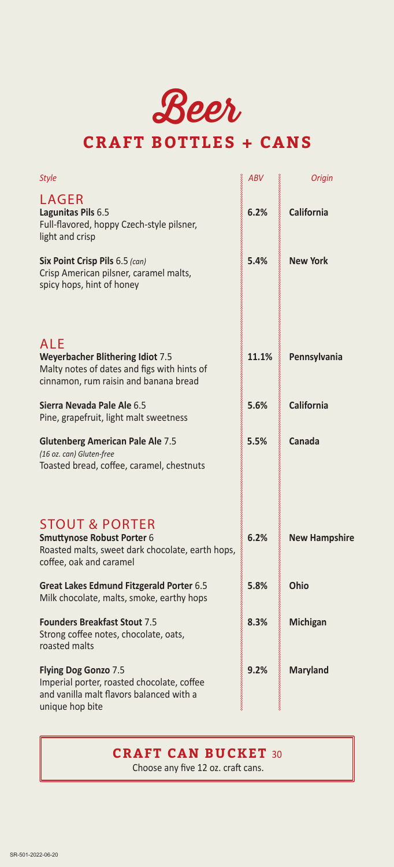Beer

## **CRAFT BOTTLES + CANS**

| Style                                                                                                                                  | <b>ABV</b> | Origin               |
|----------------------------------------------------------------------------------------------------------------------------------------|------------|----------------------|
| LAGER<br>Lagunitas Pils 6.5<br>Full-flavored, hoppy Czech-style pilsner,<br>light and crisp                                            | 6.2%       | <b>California</b>    |
| Six Point Crisp Pils 6.5 (can)<br>Crisp American pilsner, caramel malts,<br>spicy hops, hint of honey                                  | 5.4%       | <b>New York</b>      |
| ALE<br><b>Weyerbacher Blithering Idiot 7.5</b><br>Malty notes of dates and figs with hints of<br>cinnamon, rum raisin and banana bread | 11.1%      | Pennsylvania         |
| Sierra Nevada Pale Ale 6.5<br>Pine, grapefruit, light malt sweetness                                                                   | 5.6%       | California           |
| <b>Glutenberg American Pale Ale 7.5</b><br>(16 oz. can) Gluten-free<br>Toasted bread, coffee, caramel, chestnuts                       | 5.5%       | Canada               |
| <b>STOUT &amp; PORTER</b><br>Smuttynose Robust Porter 6<br>Roasted malts, sweet dark chocolate, earth hops,<br>coffee, oak and caramel | 6.2%       | <b>New Hampshire</b> |
| Great Lakes Edmund Fitzgerald Porter 6.5<br>Milk chocolate, malts, smoke, earthy hops                                                  | 5.8%       | Ohio                 |
| <b>Founders Breakfast Stout 7.5</b><br>Strong coffee notes, chocolate, oats,<br>roasted malts                                          | 8.3%       | Michigan             |
| Flying Dog Gonzo 7.5<br>Imperial porter, roasted chocolate, coffee<br>and vanilla malt flavors balanced with a<br>unique hop bite      | 9.2%       | <b>Maryland</b>      |

## **CRAFT CAN BUCKET** 30

Choose any five 12 oz. craft cans.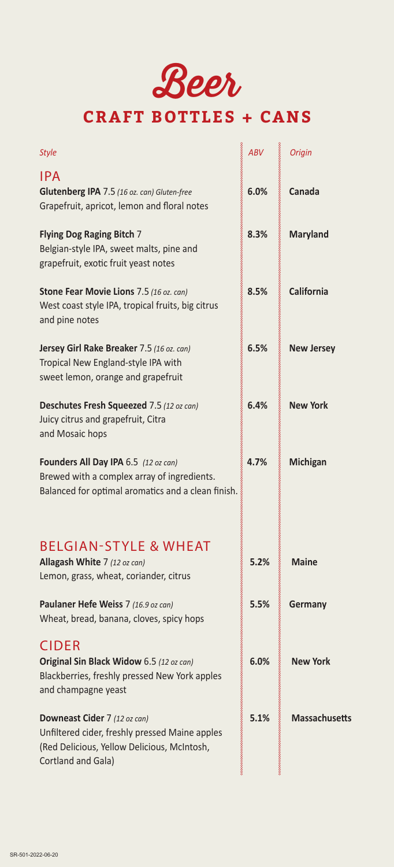

## **CRAFT BOTTLES + CANS**

| <b>Style</b>                                                                                                                                        | ABV  | <b>Origin</b>        |
|-----------------------------------------------------------------------------------------------------------------------------------------------------|------|----------------------|
| <b>IPA</b><br>Glutenberg IPA 7.5 (16 oz. can) Gluten-free<br>Grapefruit, apricot, lemon and floral notes                                            | 6.0% | Canada               |
| <b>Flying Dog Raging Bitch 7</b><br>Belgian-style IPA, sweet malts, pine and<br>grapefruit, exotic fruit yeast notes                                | 8.3% | <b>Maryland</b>      |
| Stone Fear Movie Lions 7.5 (16 oz. can)<br>West coast style IPA, tropical fruits, big citrus<br>and pine notes                                      | 8.5% | <b>California</b>    |
| Jersey Girl Rake Breaker 7.5 (16 oz. can)<br>Tropical New England-style IPA with<br>sweet lemon, orange and grapefruit                              | 6.5% | <b>New Jersey</b>    |
| Deschutes Fresh Squeezed 7.5 (12 oz can)<br>Juicy citrus and grapefruit, Citra<br>and Mosaic hops                                                   | 6.4% | <b>New York</b>      |
| Founders All Day IPA 6.5 (12 oz can)<br>Brewed with a complex array of ingredients.<br>Balanced for optimal aromatics and a clean finish.           | 4.7% | Michigan             |
| <b>BELGIAN-STYLE &amp; WHEAT</b><br>Allagash White 7 (12 oz can)<br>Lemon, grass, wheat, coriander, citrus                                          | 5.2% | <b>Maine</b>         |
| Paulaner Hefe Weiss 7 (16.9 oz can)<br>Wheat, bread, banana, cloves, spicy hops                                                                     | 5.5% | Germany              |
| <b>CIDER</b><br>Original Sin Black Widow 6.5 (12 oz can)<br>Blackberries, freshly pressed New York apples<br>and champagne yeast                    | 6.0% | <b>New York</b>      |
| Downeast Cider 7 (12 oz can)<br>Unfiltered cider, freshly pressed Maine apples<br>(Red Delicious, Yellow Delicious, McIntosh,<br>Cortland and Gala) | 5.1% | <b>Massachusetts</b> |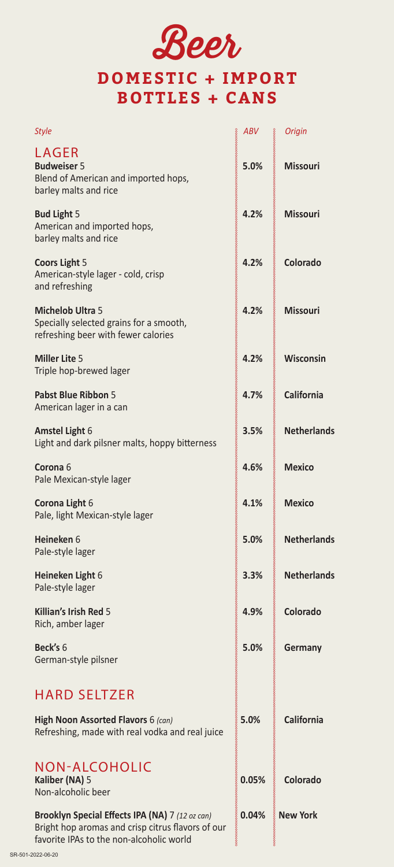# Beer

## **DOMESTIC + IMPORT BOTTLES + CANS**

| <b>Style</b>                                                                                                                                     | ABV   | <b>Origin</b>      |
|--------------------------------------------------------------------------------------------------------------------------------------------------|-------|--------------------|
| LAGER<br><b>Budweiser 5</b><br>Blend of American and imported hops,<br>barley malts and rice                                                     | 5.0%  | <b>Missouri</b>    |
| <b>Bud Light 5</b><br>American and imported hops,<br>barley malts and rice                                                                       | 4.2%  | <b>Missouri</b>    |
| <b>Coors Light 5</b><br>American-style lager - cold, crisp<br>and refreshing                                                                     | 4.2%  | Colorado           |
| <b>Michelob Ultra 5</b><br>Specially selected grains for a smooth,<br>refreshing beer with fewer calories                                        | 4.2%  | <b>Missouri</b>    |
| <b>Miller Lite 5</b><br>Triple hop-brewed lager                                                                                                  | 4.2%  | Wisconsin          |
| Pabst Blue Ribbon 5<br>American lager in a can                                                                                                   | 4.7%  | <b>California</b>  |
| <b>Amstel Light 6</b><br>Light and dark pilsner malts, hoppy bitterness                                                                          | 3.5%  | <b>Netherlands</b> |
| Corona <sub>6</sub><br>Pale Mexican-style lager                                                                                                  | 4.6%  | <b>Mexico</b>      |
| Corona Light 6<br>Pale, light Mexican-style lager                                                                                                | 4.1%  | <b>Mexico</b>      |
| Heineken 6<br>Pale-style lager                                                                                                                   | 5.0%  | <b>Netherlands</b> |
| Heineken Light 6<br>Pale-style lager                                                                                                             | 3.3%  | <b>Netherlands</b> |
| Killian's Irish Red 5<br>Rich, amber lager                                                                                                       | 4.9%  | Colorado           |
| Beck's 6<br>German-style pilsner                                                                                                                 | 5.0%  | Germany            |
| <b>HARD SELTZER</b>                                                                                                                              |       |                    |
| High Noon Assorted Flavors 6 (can)<br>Refreshing, made with real vodka and real juice                                                            | 5.0%  | <b>California</b>  |
| <b>NON-ALCOHOLIC</b><br>Kaliber (NA) 5<br>Non-alcoholic beer                                                                                     | 0.05% | Colorado           |
| Brooklyn Special Effects IPA (NA) 7 (12 oz can)<br>Bright hop aromas and crisp citrus flavors of our<br>favorite IPAs to the non-alcoholic world | 0.04% | <b>New York</b>    |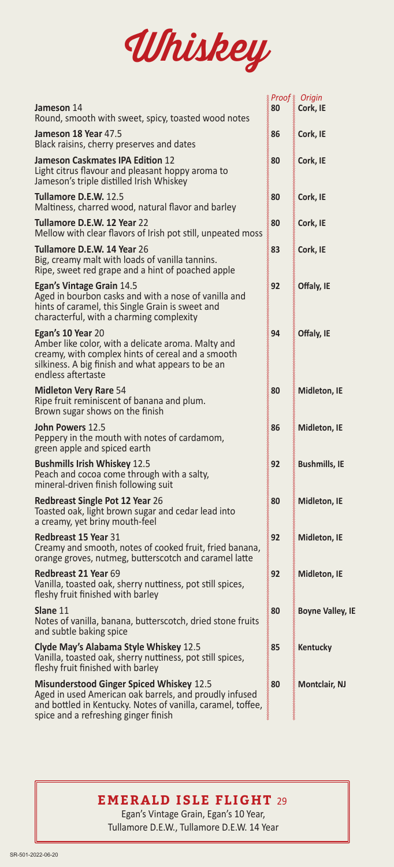

|                                                                                                                                                                                                                  |    | & Proof & Origin        |
|------------------------------------------------------------------------------------------------------------------------------------------------------------------------------------------------------------------|----|-------------------------|
| <b>Jameson</b> 14<br>Round, smooth with sweet, spicy, toasted wood notes                                                                                                                                         | 80 | Cork, IE                |
| Jameson 18 Year 47.5<br>Black raisins, cherry preserves and dates                                                                                                                                                | 86 | Cork, IE                |
| Jameson Caskmates IPA Edition 12<br>Light citrus flavour and pleasant hoppy aroma to<br>Jameson's triple distilled Irish Whiskey                                                                                 | 80 | Cork, IE                |
| <b>Tullamore D.E.W. 12.5</b><br>Maltiness, charred wood, natural flavor and barley                                                                                                                               | 80 | Cork, IE                |
| Tullamore D.E.W. 12 Year 22<br>Mellow with clear flavors of Irish pot still, unpeated moss                                                                                                                       | 80 | Cork, IE                |
| <b>Tullamore D.E.W. 14 Year 26</b><br>Big, creamy malt with loads of vanilla tannins.<br>Ripe, sweet red grape and a hint of poached apple                                                                       | 83 | Cork, IE                |
| Egan's Vintage Grain 14.5<br>Aged in bourbon casks and with a nose of vanilla and<br>hints of caramel, this Single Grain is sweet and<br>characterful, with a charming complexity                                | 92 | Offaly, IE              |
| Egan's 10 Year 20<br>Amber like color, with a delicate aroma. Malty and<br>creamy, with complex hints of cereal and a smooth<br>silkiness. A big finish and what appears to be an<br>endless aftertaste          | 94 | Offaly, IE              |
| <b>Midleton Very Rare 54</b><br>Ripe fruit reminiscent of banana and plum.<br>Brown sugar shows on the finish                                                                                                    | 80 | Midleton, IE            |
| John Powers 12.5<br>Peppery in the mouth with notes of cardamom,<br>green apple and spiced earth                                                                                                                 | 86 | Midleton, IE            |
| <b>Bushmills Irish Whiskey 12.5</b><br>Peach and cocoa come through with a salty,<br>mineral-driven finish following suit                                                                                        | 92 | <b>Bushmills, IE</b>    |
| <b>Redbreast Single Pot 12 Year 26</b><br>Toasted oak, light brown sugar and cedar lead into<br>a creamy, yet briny mouth-feel                                                                                   | 80 | Midleton, IE            |
| <b>Redbreast 15 Year 31</b><br>Creamy and smooth, notes of cooked fruit, fried banana,<br>orange groves, nutmeg, butterscotch and caramel latte                                                                  | 92 | Midleton, IE            |
| Redbreast 21 Year 69<br>Vanilla, toasted oak, sherry nuttiness, pot still spices,<br>fleshy fruit finished with barley                                                                                           | 92 | Midleton, IE            |
| Slane 11<br>Notes of vanilla, banana, butterscotch, dried stone fruits<br>and subtle baking spice                                                                                                                | 80 | <b>Boyne Valley, IE</b> |
| Clyde May's Alabama Style Whiskey 12.5<br>Vanilla, toasted oak, sherry nuttiness, pot still spices,<br>fleshy fruit finished with barley                                                                         | 85 | Kentucky                |
| <b>Misunderstood Ginger Spiced Whiskey 12.5</b><br>Aged in used American oak barrels, and proudly infused<br>and bottled in Kentucky. Notes of vanilla, caramel, toffee,<br>spice and a refreshing ginger finish | 80 | <b>Montclair, NJ</b>    |

## **EMERALD ISLE FLIGHT** 29

 Egan's Vintage Grain, Egan's 10 Year, Tullamore D.E.W., Tullamore D.E.W. 14 Year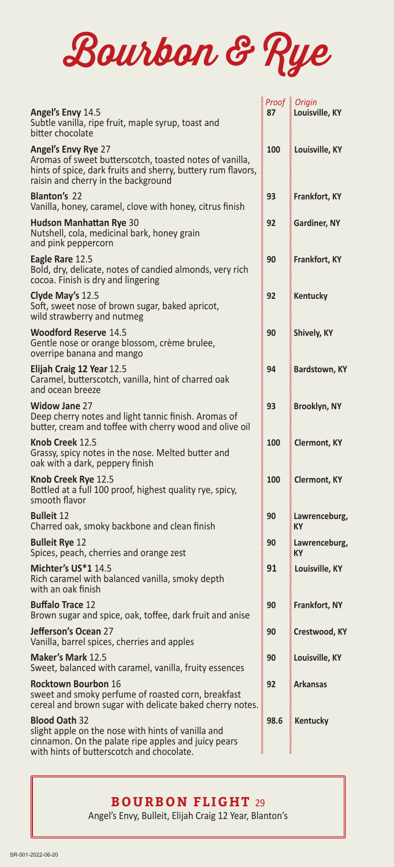

|                                                                                                                                                                                              |      | Proof & Origin      |
|----------------------------------------------------------------------------------------------------------------------------------------------------------------------------------------------|------|---------------------|
| Angel's Envy 14.5<br>Subtle vanilla, ripe fruit, maple syrup, toast and<br>bitter chocolate                                                                                                  | 87   | Louisville, KY      |
| <b>Angel's Envy Rye 27</b><br>Aromas of sweet butterscotch, toasted notes of vanilla,<br>hints of spice, dark fruits and sherry, buttery rum flavors,<br>raisin and cherry in the background | 100  | Louisville, KY      |
| <b>Blanton's 22</b><br>Vanilla, honey, caramel, clove with honey, citrus finish                                                                                                              | 93   | Frankfort, KY       |
| <b>Hudson Manhattan Rye 30</b><br>Nutshell, cola, medicinal bark, honey grain<br>and pink peppercorn                                                                                         | 92   | Gardiner, NY        |
| Eagle Rare 12.5<br>Bold, dry, delicate, notes of candied almonds, very rich<br>cocoa. Finish is dry and lingering                                                                            | 90   | Frankfort, KY       |
| Clyde May's 12.5<br>Soft, sweet nose of brown sugar, baked apricot,<br>wild strawberry and nutmeg                                                                                            | 92   | Kentucky            |
| <b>Woodford Reserve 14.5</b><br>Gentle nose or orange blossom, crème brulee,<br>overripe banana and mango                                                                                    | 90   | Shively, KY         |
| Elijah Craig 12 Year 12.5<br>Caramel, butterscotch, vanilla, hint of charred oak<br>and ocean breeze                                                                                         | 94   | Bardstown, KY       |
| <b>Widow Jane 27</b><br>Deep cherry notes and light tannic finish. Aromas of<br>butter, cream and toffee with cherry wood and olive oil                                                      | 93   | Brooklyn, NY        |
| Knob Creek 12.5<br>Grassy, spicy notes in the nose. Melted butter and<br>oak with a dark, peppery finish                                                                                     | 100  | <b>Clermont, KY</b> |
| Knob Creek Rye 12.5<br>Bottled at a full 100 proof, highest quality rye, spicy,<br>smooth flavor                                                                                             | 100  | Clermont, KY        |
| <b>Bulleit 12</b><br>Charred oak, smoky backbone and clean finish                                                                                                                            | 90   | Lawrenceburg,<br>КY |
| <b>Bulleit Rye 12</b><br>Spices, peach, cherries and orange zest                                                                                                                             | 90   | Lawrenceburg,<br>КY |
| <b>Michter's US*1 14.5</b><br>Rich caramel with balanced vanilla, smoky depth<br>with an oak finish                                                                                          | 91   | & Louisville, KY    |
| <b>Buffalo Trace 12</b><br>Brown sugar and spice, oak, toffee, dark fruit and anise                                                                                                          | 90   | Frankfort, NY       |
| Jefferson's Ocean 27<br>Vanilla, barrel spices, cherries and apples                                                                                                                          | 90   | Crestwood, KY       |
| Maker's Mark 12.5<br>Sweet, balanced with caramel, vanilla, fruity essences                                                                                                                  | 90   | Louisville, KY      |
| <b>Rocktown Bourbon 16</b><br>sweet and smoky perfume of roasted corn, breakfast<br>cereal and brown sugar with delicate baked cherry notes.                                                 | 92   | <b>Arkansas</b>     |
| <b>Blood Oath 32</b><br>slight apple on the nose with hints of vanilla and<br>cinnamon. On the palate ripe apples and juicy pears<br>with hints of butterscotch and chocolate.               | 98.6 | Kentucky            |

**BOURBON FLIGHT** 29

Angel's Envy, Bulleit, Elijah Craig 12 Year, Blanton's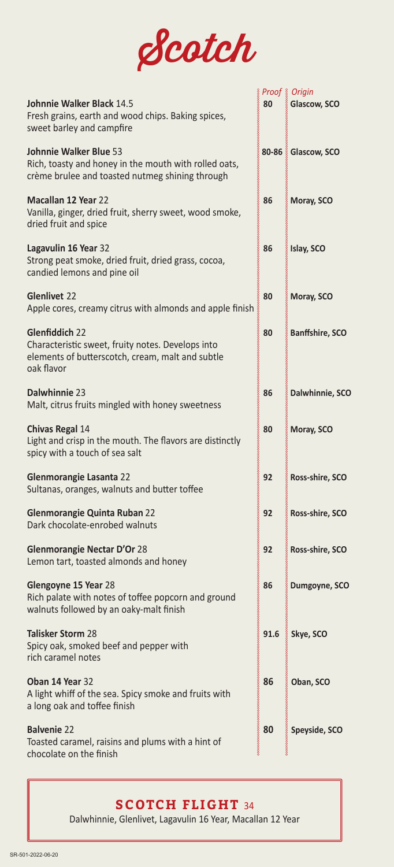

|                                                                                                                                           |                  | Proof & Origin         |
|-------------------------------------------------------------------------------------------------------------------------------------------|------------------|------------------------|
| Johnnie Walker Black 14.5<br>Fresh grains, earth and wood chips. Baking spices,<br>sweet barley and campfire                              | 2000000000<br>80 | Glascow, SCO           |
| <b>Johnnie Walker Blue 53</b><br>Rich, toasty and honey in the mouth with rolled oats,<br>crème brulee and toasted nutmeg shining through |                  | 80-86 & Glascow, SCO   |
| <b>Macallan 12 Year 22</b><br>Vanilla, ginger, dried fruit, sherry sweet, wood smoke,<br>dried fruit and spice                            | 86               | Moray, SCO             |
| Lagavulin 16 Year 32<br>Strong peat smoke, dried fruit, dried grass, cocoa,<br>candied lemons and pine oil                                | 86               | Islay, SCO             |
| <b>Glenlivet 22</b><br>Apple cores, creamy citrus with almonds and apple finish                                                           | 80               | Moray, SCO             |
| Glenfiddich 22<br>Characteristic sweet, fruity notes. Develops into<br>elements of butterscotch, cream, malt and subtle<br>oak flavor     | 80               | <b>Banffshire, SCO</b> |
| Dalwhinnie 23<br>Malt, citrus fruits mingled with honey sweetness                                                                         | 86               | Dalwhinnie, SCO        |
| <b>Chivas Regal 14</b><br>Light and crisp in the mouth. The flavors are distinctly<br>spicy with a touch of sea salt                      | 80               | Moray, SCO             |
| Glenmorangie Lasanta 22<br>Sultanas, oranges, walnuts and butter toffee                                                                   | 92               | Ross-shire, SCO        |
| <b>Glenmorangie Quinta Ruban 22</b><br>Dark chocolate-enrobed walnuts                                                                     | 92               | Ross-shire, SCO        |
| <b>Glenmorangie Nectar D'Or 28</b><br>Lemon tart, toasted almonds and honey                                                               | 92               | Ross-shire, SCO        |
| Glengoyne 15 Year 28<br>Rich palate with notes of toffee popcorn and ground<br>walnuts followed by an oaky-malt finish                    | 86               | Dumgoyne, SCO          |
| <b>Talisker Storm 28</b><br>Spicy oak, smoked beef and pepper with<br>rich caramel notes                                                  | 91.6             | Skye, SCO              |
| Oban 14 Year 32<br>A light whiff of the sea. Spicy smoke and fruits with<br>a long oak and toffee finish                                  | 86               | Oban, SCO              |
| <b>Balvenie 22</b><br>Toasted caramel, raisins and plums with a hint of<br>chocolate on the finish                                        | 80               | Speyside, SCO          |

## **SCOTCH FLIGHT** 34

Dalwhinnie, Glenlivet, Lagavulin 16 Year, Macallan 12 Year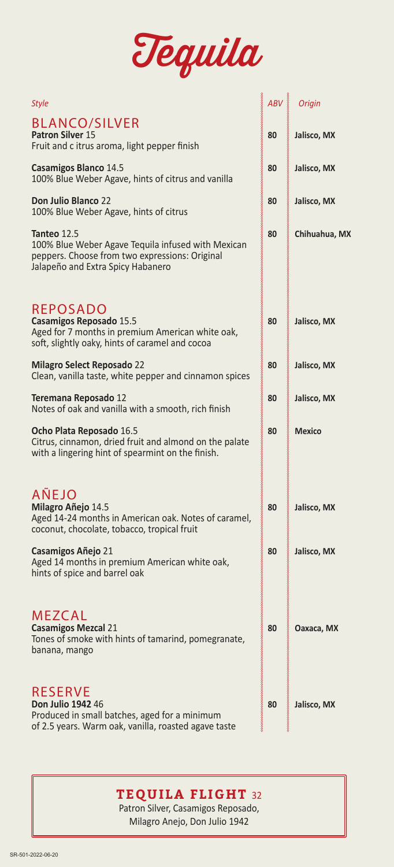

| Style                                                                                                                                                    | ABV | Origin        |
|----------------------------------------------------------------------------------------------------------------------------------------------------------|-----|---------------|
| <b>BLANCO/SILVER</b><br>Patron Silver 15<br>Fruit and c itrus aroma, light pepper finish                                                                 | 80  | Jalisco, MX   |
| <b>Casamigos Blanco 14.5</b><br>100% Blue Weber Agave, hints of citrus and vanilla                                                                       | 80  | Jalisco, MX   |
| Don Julio Blanco 22<br>100% Blue Weber Agave, hints of citrus                                                                                            | 80  | Jalisco, MX   |
| Tanteo 12.5<br>100% Blue Weber Agave Tequila infused with Mexican<br>peppers. Choose from two expressions: Original<br>Jalapeño and Extra Spicy Habanero | 80  | Chihuahua, MX |
| REPOSADO<br>Casamigos Reposado 15.5<br>Aged for 7 months in premium American white oak,<br>soft, slightly oaky, hints of caramel and cocoa               | 80  | Jalisco, MX   |
| <b>Milagro Select Reposado 22</b><br>Clean, vanilla taste, white pepper and cinnamon spices                                                              | 80  | Jalisco, MX   |
| Teremana Reposado 12<br>Notes of oak and vanilla with a smooth, rich finish                                                                              | 80  | Jalisco, MX   |
| Ocho Plata Reposado 16.5<br>Citrus, cinnamon, dried fruit and almond on the palate<br>with a lingering hint of spearmint on the finish.                  | 80  | <b>Mexico</b> |
| <b>AÑEJO</b><br>Milagro Añejo 14.5<br>Aged 14-24 months in American oak. Notes of caramel,<br>coconut, chocolate, tobacco, tropical fruit                | 80  | Jalisco, MX   |
| Casamigos Añejo 21<br>Aged 14 months in premium American white oak,<br>hints of spice and barrel oak                                                     | 80  | Jalisco, MX   |
| <b>MEZCAL</b><br><b>Casamigos Mezcal 21</b><br>Tones of smoke with hints of tamarind, pomegranate,<br>banana, mango                                      | 80  | Oaxaca, MX    |
| <b>RESERVE</b><br><b>Don Julio 1942 46</b><br>Produced in small batches, aged for a minimum<br>of 2.5 years. Warm oak, vanilla, roasted agave taste      | 80  | Jalisco, MX   |

## **TEQUILA FLIGHT** 32

Patron Silver, Casamigos Reposado, Milagro Anejo, Don Julio 1942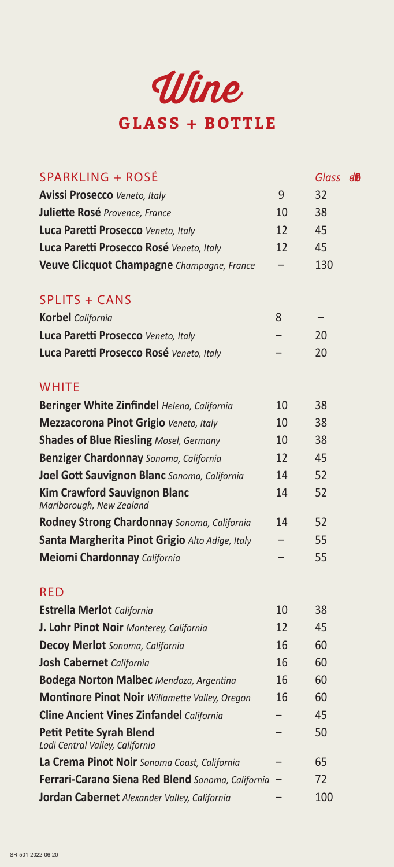

| SPARKLING + ROSÉ                                                   |    | Glass d <sup>B</sup> |  |
|--------------------------------------------------------------------|----|----------------------|--|
| <b>Avissi Prosecco</b> Veneto, Italy                               | 9  | 32                   |  |
| Juliette Rosé Provence, France                                     | 10 | 38                   |  |
| Luca Paretti Prosecco Veneto, Italy                                | 12 | 45                   |  |
| Luca Paretti Prosecco Rosé Veneto, Italy                           | 12 | 45                   |  |
| Veuve Clicquot Champagne Champagne, France                         |    | 130                  |  |
| <b>SPLITS + CANS</b>                                               |    |                      |  |
| <b>Korbel</b> California                                           | 8  |                      |  |
| Luca Paretti Prosecco Veneto, Italy                                |    | 20                   |  |
| Luca Paretti Prosecco Rosé Veneto, Italy                           |    | 20                   |  |
| <b>WHITE</b>                                                       |    |                      |  |
| Beringer White Zinfindel Helena, California                        | 10 | 38                   |  |
| Mezzacorona Pinot Grigio Veneto, Italy                             | 10 | 38                   |  |
| <b>Shades of Blue Riesling Mosel, Germany</b>                      | 10 | 38                   |  |
| <b>Benziger Chardonnay</b> Sonoma, California                      | 12 | 45                   |  |
| Joel Gott Sauvignon Blanc Sonoma, California                       | 14 | 52                   |  |
| <b>Kim Crawford Sauvignon Blanc</b><br>Marlborough, New Zealand    | 14 | 52                   |  |
| Rodney Strong Chardonnay Sonoma, California                        | 14 | 52                   |  |
| Santa Margherita Pinot Grigio Alto Adige, Italy                    |    | 55                   |  |
| <b>Meiomi Chardonnay California</b>                                |    | 55                   |  |
| <b>RED</b>                                                         |    |                      |  |
| <b>Estrella Merlot</b> California                                  | 10 | 38                   |  |
| J. Lohr Pinot Noir Monterey, California                            | 12 | 45                   |  |
| Decoy Merlot Sonoma, California                                    | 16 | 60                   |  |
| <b>Josh Cabernet</b> California                                    | 16 | 60                   |  |
| <b>Bodega Norton Malbec</b> Mendoza, Argentina                     | 16 | 60                   |  |
| Montinore Pinot Noir Willamette Valley, Oregon                     | 16 | 60                   |  |
| <b>Cline Ancient Vines Zinfandel California</b>                    |    | 45                   |  |
| <b>Petit Petite Syrah Blend</b><br>Lodi Central Valley, California |    | 50                   |  |
| La Crema Pinot Noir Sonoma Coast, California                       |    | 65                   |  |
| Ferrari-Carano Siena Red Blend Sonoma, California                  |    | 72                   |  |
| Jordan Cabernet Alexander Valley, California                       |    | 100                  |  |